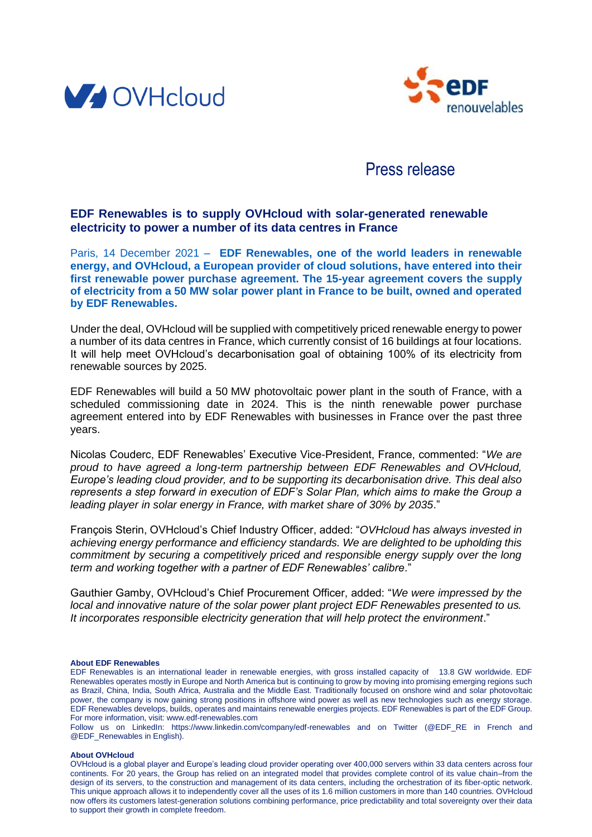



# Press release

# **EDF Renewables is to supply OVHcloud with solar-generated renewable electricity to power a number of its data centres in France**

Paris, 14 December 2021 – **EDF Renewables, one of the world leaders in renewable energy, and OVHcloud, a European provider of cloud solutions, have entered into their first renewable power purchase agreement. The 15-year agreement covers the supply of electricity from a 50 MW solar power plant in France to be built, owned and operated by EDF Renewables.**

Under the deal, OVHcloud will be supplied with competitively priced renewable energy to power a number of its data centres in France, which currently consist of 16 buildings at four locations. It will help meet OVHcloud's decarbonisation goal of obtaining 100% of its electricity from renewable sources by 2025.

EDF Renewables will build a 50 MW photovoltaic power plant in the south of France, with a scheduled commissioning date in 2024. This is the ninth renewable power purchase agreement entered into by EDF Renewables with businesses in France over the past three years.

Nicolas Couderc, EDF Renewables' Executive Vice-President, France, commented: "*We are proud to have agreed a long-term partnership between EDF Renewables and OVHcloud, Europe's leading cloud provider, and to be supporting its decarbonisation drive. This deal also represents a step forward in execution of EDF's Solar Plan, which aims to make the Group a leading player in solar energy in France, with market share of 30% by 2035*."

François Sterin, OVHcloud's Chief Industry Officer, added: "*OVHcloud has always invested in achieving energy performance and efficiency standards. We are delighted to be upholding this commitment by securing a competitively priced and responsible energy supply over the long term and working together with a partner of EDF Renewables' calibre*."

Gauthier Gamby, OVHcloud's Chief Procurement Officer, added: "*We were impressed by the local and innovative nature of the solar power plant project EDF Renewables presented to us. It incorporates responsible electricity generation that will help protect the environment*."

# **About EDF Renewables**

Follow us on LinkedIn: https://www.linkedin.com/company/edf-renewables and on Twitter (@EDF\_RE in French and @EDF\_Renewables in English).

#### **About OVHcloud**

OVHcloud is a global player and Europe's leading cloud provider operating over 400,000 servers within 33 data centers across four continents. For 20 years, the Group has relied on an integrated model that provides complete control of its value chain–from the design of its servers, to the construction and management of its data centers, including the orchestration of its fiber-optic network. This unique approach allows it to independently cover all the uses of its 1.6 million customers in more than 140 countries. OVHcloud now offers its customers latest-generation solutions combining performance, price predictability and total sovereignty over their data to support their growth in complete freedom.

EDF Renewables is an international leader in renewable energies, with gross installed capacity of 13.8 GW worldwide. EDF Renewables operates mostly in Europe and North America but is continuing to grow by moving into promising emerging regions such as Brazil, China, India, South Africa, Australia and the Middle East. Traditionally focused on onshore wind and solar photovoltaic power, the company is now gaining strong positions in offshore wind power as well as new technologies such as energy storage. EDF Renewables develops, builds, operates and maintains renewable energies projects. EDF Renewables is part of the EDF Group. For more information, visit: www.edf-renewables.com